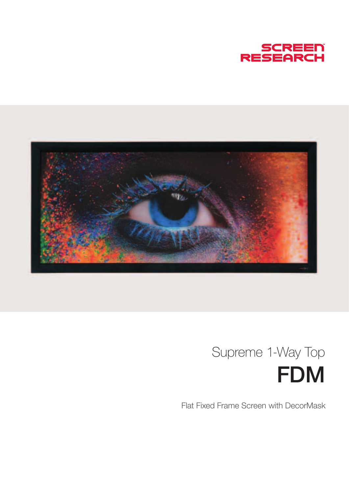



## FDM Supreme 1-Way Top

Flat Fixed Frame Screen with DecorMask